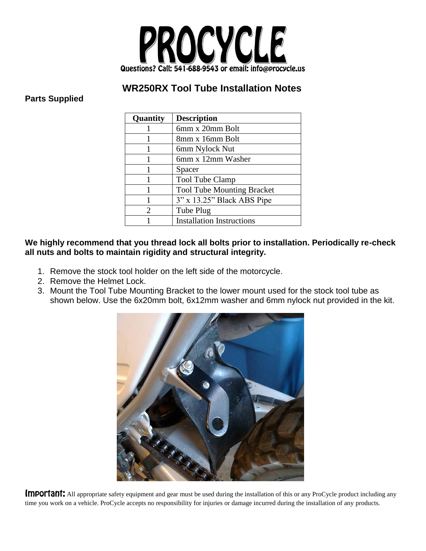

## **WR250RX Tool Tube Installation Notes**

## **Parts Supplied**

| Quantity              | <b>Description</b>                |
|-----------------------|-----------------------------------|
|                       | 6mm x 20mm Bolt                   |
|                       | 8mm x 16mm Bolt                   |
|                       | 6mm Nylock Nut                    |
|                       | 6mm x 12mm Washer                 |
|                       | Spacer                            |
|                       | Tool Tube Clamp                   |
|                       | <b>Tool Tube Mounting Bracket</b> |
|                       | 3" x 13.25" Black ABS Pipe        |
| $\mathcal{D}_{\cdot}$ | Tube Plug                         |
|                       | <b>Installation Instructions</b>  |

## **We highly recommend that you thread lock all bolts prior to installation. Periodically re-check all nuts and bolts to maintain rigidity and structural integrity.**

- 1. Remove the stock tool holder on the left side of the motorcycle.
- 2. Remove the Helmet Lock.
- 3. Mount the Tool Tube Mounting Bracket to the lower mount used for the stock tool tube as shown below. Use the 6x20mm bolt, 6x12mm washer and 6mm nylock nut provided in the kit.



Important: All appropriate safety equipment and gear must be used during the installation of this or any ProCycle product including any time you work on a vehicle. ProCycle accepts no responsibility for injuries or damage incurred during the installation of any products.